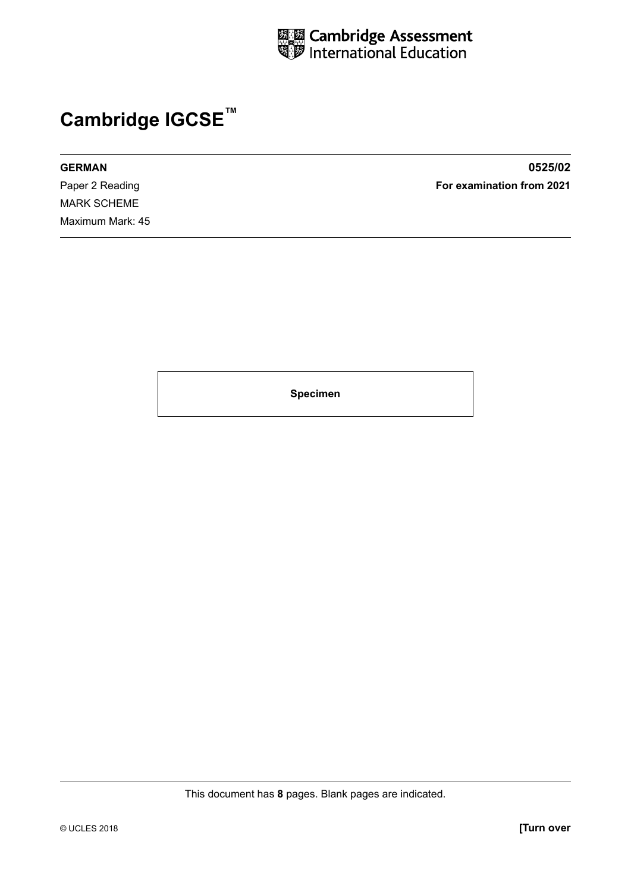

## **Cambridge IGCSE™**

**GERMAN 0525/02** Paper 2 Reading **For examination from 2021** MARK SCHEME Maximum Mark: 45

**Specimen**

This document has **8** pages. Blank pages are indicated.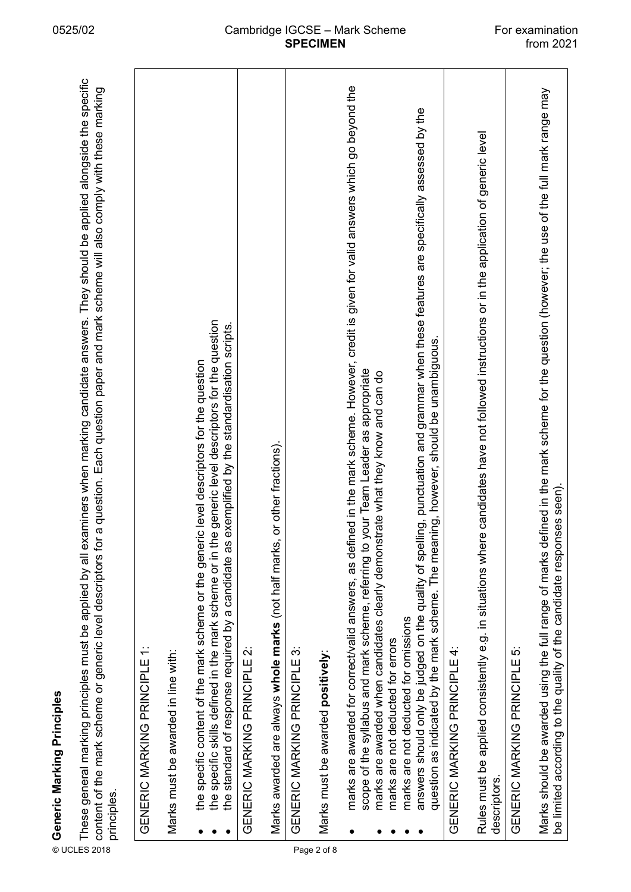|             | examiners when marking candidate answers. They should be applied alongside the specific<br>for a question. Each question paper and mark scheme will also comply with these marking<br>These general marking principles must be applied by all<br>content of the mark scheme or generic level descriptors<br>⊚ Generic Marking Principles<br>E These general marking principl<br>≌ content of the mark scheme or<br>≈ cripcioc<br>principles. |
|-------------|----------------------------------------------------------------------------------------------------------------------------------------------------------------------------------------------------------------------------------------------------------------------------------------------------------------------------------------------------------------------------------------------------------------------------------------------|
|             | GENERIC MARKING PRINCIPLE 1:                                                                                                                                                                                                                                                                                                                                                                                                                 |
|             | Marks must be awarded in line with:                                                                                                                                                                                                                                                                                                                                                                                                          |
|             | the specific skills defined in the mark scheme or in the generic level descriptors for the question<br>the standard of response required by a candidate as exemplified by the standardisation scripts.<br>eric level descriptors for the question<br>the specific content of the mark scheme or the gen                                                                                                                                      |
|             | GENERIC MARKING PRINCIPLE 2:                                                                                                                                                                                                                                                                                                                                                                                                                 |
|             | Marks awarded are always whole marks (not half marks, or other fractions).                                                                                                                                                                                                                                                                                                                                                                   |
|             | GENERIC MARKING PRINCIPLE 3:                                                                                                                                                                                                                                                                                                                                                                                                                 |
| Page 2 of 8 | Marks must be awarded positively                                                                                                                                                                                                                                                                                                                                                                                                             |
|             | marks are awarded for correct/valid answers, as defined in the mark scheme. However, credit is given for valid answers which go beyond the<br>to your Team Leader as appropriate<br>marks are awarded when candidates clearly demonstrate what they know and can do<br>scope of the syllabus and mark scheme, referring                                                                                                                      |
|             | answers should only be judged on the quality of spelling, punctuation and grammar when these features are specifically assessed by the<br>question as indicated by the mark scheme. The meaning, however, should be unambiguous.<br>marks are not deducted for omissions<br>marks are not deducted for errors                                                                                                                                |
|             | GENERIC MARKING PRINCIPLE 4:                                                                                                                                                                                                                                                                                                                                                                                                                 |
|             | ere candidates have not followed instructions or in the application of generic level<br>Rules must be applied consistently e.g. in situations wh<br>descriptors.                                                                                                                                                                                                                                                                             |
|             | GENERIC MARKING PRINCIPLE 5:                                                                                                                                                                                                                                                                                                                                                                                                                 |
|             | defined in the mark scheme for the question (however; the use of the full mark range may<br>be limited according to the quality of the candidate responses seen).<br>Marks should be awarded using the full range of marks                                                                                                                                                                                                                   |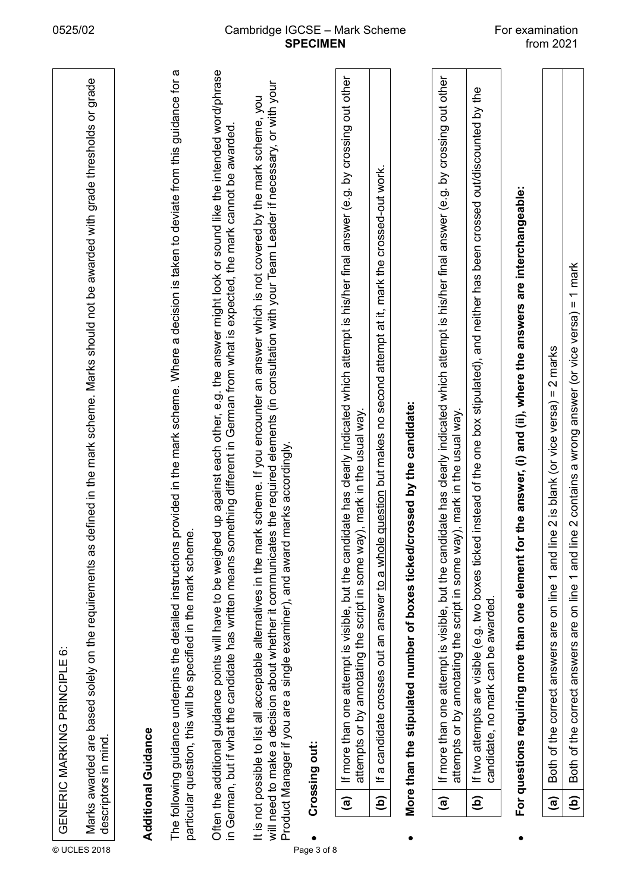|              |                        | GENERIC MARKING PRINCIPLE 6:                                                                                                                                                                                                                                                                                                                                                               |
|--------------|------------------------|--------------------------------------------------------------------------------------------------------------------------------------------------------------------------------------------------------------------------------------------------------------------------------------------------------------------------------------------------------------------------------------------|
| © UCLES 2018 |                        | defined in the mark scheme. Marks should not be awarded with grade thresholds or grade<br>Marks awarded are based solely on the requirements as<br>descriptors in mind.                                                                                                                                                                                                                    |
|              |                        |                                                                                                                                                                                                                                                                                                                                                                                            |
|              |                        | provided in the mark scheme. Where a decision is taken to deviate from this guidance for a<br>The following guidance underpins the detailed instructions<br><b>Additional Guidance</b>                                                                                                                                                                                                     |
|              |                        | particular question, this will be specified in the mark scheme.                                                                                                                                                                                                                                                                                                                            |
|              |                        | Often the additional guidance points will have to be weighed up against each other, e.g. the answer might look or sound like the intended word/phrase<br>in German, but if what the candidate has written means something different in German from what is expected, the mark cannot be awarded                                                                                            |
|              |                        | will need to make a decision about whether it communicates the required elements (in consultation with your Team Leader if necessary, or with your<br>It is not possible to list all acceptable alternatives in the mark scheme. If you encounter an answer which is not covered by the mark scheme, you<br>marks accordingly.<br>Product Manager if you are a single examiner), and award |
| Page 3 of 8  |                        | Crossing out:                                                                                                                                                                                                                                                                                                                                                                              |
|              | $\widehat{\mathbf{e}}$ | If more than one attempt is visible, but the candidate has clearly indicated which attempt is his/her final answer (e.g. by crossing out other<br>attempts or by annotating the script in some way), mark in the usual way.                                                                                                                                                                |
|              | $\widehat{e}$          | If a candidate crosses out an answer to a whole question but makes no second attempt at it, mark the crossed-out work.                                                                                                                                                                                                                                                                     |
|              |                        | More than the stipulated number of boxes ticked/crossed by the candidate:                                                                                                                                                                                                                                                                                                                  |
|              | $\widehat{\mathbf{e}}$ | If more than one attempt is visible, but the candidate has clearly indicated which attempt is his/her final answer (e.g. by crossing out other<br>attempts or by annotating the script in some way), mark in the usual way.                                                                                                                                                                |
|              | $\widehat{e}$          | If two attempts are visible (e.g. two boxes ticked instead of the one box stipulated), and neither has been crossed out/discounted by the<br>candidate, no mark can be awarded.                                                                                                                                                                                                            |
|              |                        | For questions requiring more than one element for the answer, (i) and (ii), where the answers are interchangeable:                                                                                                                                                                                                                                                                         |
|              | $\widehat{a}$          | 2 marks<br>and line 2 is blank (or vice versa) =<br>Both of the correct answers are on line 1                                                                                                                                                                                                                                                                                              |
|              | $\widehat{e}$          | Both of the correct answers are on line 1 and line 2 contains a wrong answer (or vice versa) = 1 mark                                                                                                                                                                                                                                                                                      |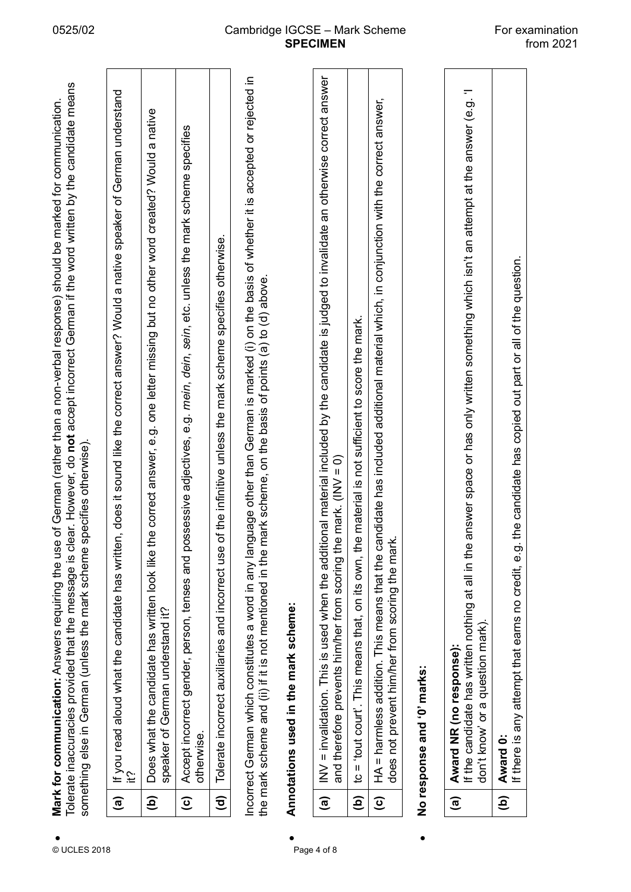| Tolerate inaccuracies provided that the message is clear. However, do not accept incorrect German if the word written by the candidate means<br>use of German (rather than a non-verbal response) should be marked for communication.<br>something else in German (unless the mark scheme specifies otherwise).<br>Mark for communication: Answers requiring the |
|------------------------------------------------------------------------------------------------------------------------------------------------------------------------------------------------------------------------------------------------------------------------------------------------------------------------------------------------------------------|
| (a) If you read aloud what the candidate has written, does it sound like the correct answer? Would a native speaker of German understand                                                                                                                                                                                                                         |
| (b) Does what the candidate has written look like the correct answer, e.g. one letter missing but no other word created? Would a native                                                                                                                                                                                                                          |

| © UCLES 2018 |                        | dear. Hower, do not accept incorrect German if the word written by the candidate means<br>Mark for communication: Answers requiring the use of German (rather than a non-verbal response) should be marked for communication.<br>specifies otherwise).<br>something else in German (unless the mark scheme<br>Tolerate inaccuracies provided that the message is |
|--------------|------------------------|------------------------------------------------------------------------------------------------------------------------------------------------------------------------------------------------------------------------------------------------------------------------------------------------------------------------------------------------------------------|
|              | $\widehat{\mathbf{e}}$ | If you read aloud what the candidate has written, does it sound like the correct answer? Would a native speaker of German understand                                                                                                                                                                                                                             |
|              | $\widehat{\mathbf{e}}$ | the correct answer, e.g. one letter missing but no other word created? Would a native<br>Does what the candidate has written look like<br>speaker of German understand it?                                                                                                                                                                                       |
|              | $\widehat{c}$          | Accept incorrect gender, person, tenses and possessive adjectives, e.g. mein, dein, sein, etc. unless the mark scheme specifies<br>otherwise.                                                                                                                                                                                                                    |
|              | $\widehat{\mathbf{c}}$ | of the infinitive unless the mark scheme specifies otherwise.<br>Tolerate incorrect auxiliaries and incorrect use                                                                                                                                                                                                                                                |
|              |                        | Incorrect German which constitutes a word in any language other than German is marked (i) on the basis of whether it is accepted or rejected in<br>mark scheme, on the basis of points (a) to (d) above.<br>the mark scheme and (ii) if it is not mentioned in the                                                                                               |
|              |                        | Annotations used in the mark scheme:                                                                                                                                                                                                                                                                                                                             |
| Page 4 of 8  | $\widehat{a}$          | INV = invalidation. This is used when the additional material included by the candidate is judged to invalidate an otherwise correct answer<br>he mark. $(INV = 0)$<br>and therefore prevents him/her from scoring th                                                                                                                                            |

| INV = invalidation. This is used when the additional material included by the candidate is judged to invalidate an otherwise correct answer<br>and therefore prevents him/her from scoring the mark. (INV = 0)<br>$\overline{a}$ |
|----------------------------------------------------------------------------------------------------------------------------------------------------------------------------------------------------------------------------------|
| material is not sufficient to score the mark.<br>(b) $\vert$ tc = 'tout court'. This means that, on its own, the                                                                                                                 |
| (c) $ HA =$ harmless addition. This means that the candidate has included additional material which, in conjunction with the correct answer,<br>does not prevent him/her from scoring the mark.                                  |
| No response and '0' marks:                                                                                                                                                                                                       |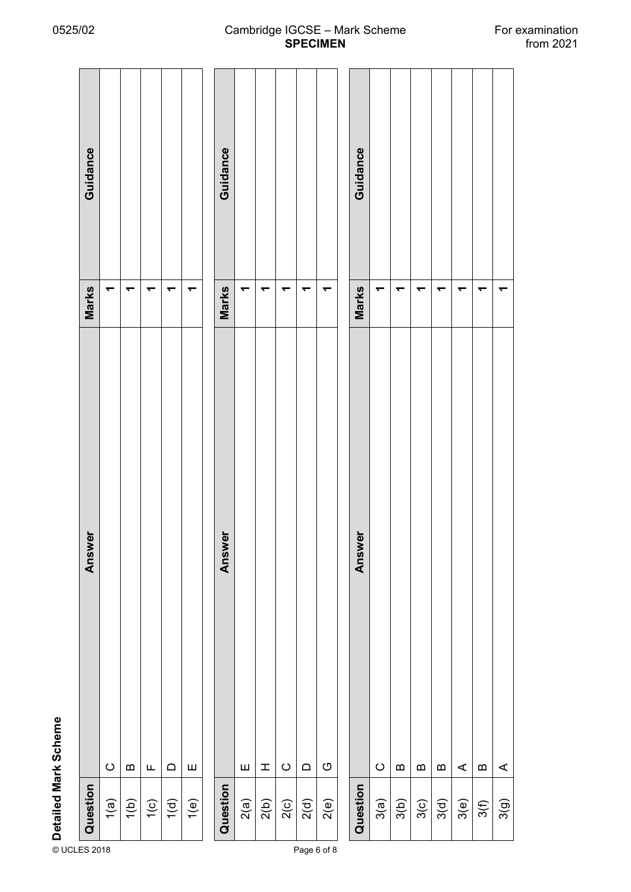| ۴ |
|---|
|   |
|   |
|   |
|   |
|   |
|   |
|   |
|   |
|   |

|                      | Guidance<br>Marks | ᠆               | ↽                | ↽         |                  |           | Guidance<br>Marks | ᠇         |           |                 |                |           | Guidance<br>Marks | ᠇               | ₹                |                  |
|----------------------|-------------------|-----------------|------------------|-----------|------------------|-----------|-------------------|-----------|-----------|-----------------|----------------|-----------|-------------------|-----------------|------------------|------------------|
| Detailed Mark Scheme | Answer            |                 |                  |           |                  |           | Answer            |           |           |                 |                |           | Answer            |                 |                  |                  |
|                      | Question          | $\circ$<br>1(a) | $\bf{m}$<br>1(b) | Щ<br>1(c) | $\Omega$<br>1(d) | Ш<br>1(e) | Question          | Ш<br>2(a) | I<br>2(b) | $\circ$<br>2(c) | $\Box$<br>2(d) | O<br>2(e) | Question          | $\circ$<br>3(a) | $\bf{m}$<br>3(b) | $\alpha$<br>3(n) |

 $\overline{\phantom{a}}$  $\overline{\phantom{0}}$  $\leftarrow$  $\leftarrow$  $\leftarrow$ 1<br>1<br>1 —<br>11<br>00 A **1** 1<br>1<br>1 A **1** $\mathbf{a}$  $\, \underline{\mathrm{m}}$  $\prec$  $\bf{m}$  $\prec$ ÷  $\frac{1}{2}$ 3(d) 3(e) 3(f) 3(g)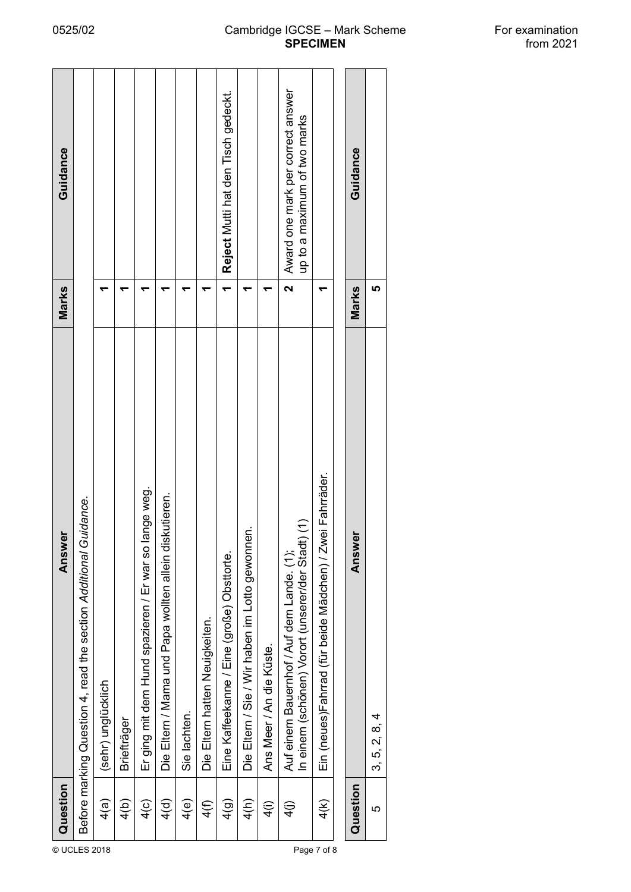| Guidance<br>Marks |                                                                  |                    |               |                                                         |                                                        |               |                                | Reject Mutti hat den Tisch gedeckt.        |                                                    |                          | Award one mark per correct answer<br>up to a maximum of two marks<br>$\overline{\mathbf{v}}$   |                                                          | Guidance<br>Marks | မာ            |
|-------------------|------------------------------------------------------------------|--------------------|---------------|---------------------------------------------------------|--------------------------------------------------------|---------------|--------------------------------|--------------------------------------------|----------------------------------------------------|--------------------------|------------------------------------------------------------------------------------------------|----------------------------------------------------------|-------------------|---------------|
| Answer            | Before marking Question 4, read the section Additional Guidance. | (sehr) unglücklich | Briefträger   | ange weg.<br>Er ging mit dem Hund spazieren / Er war so | Die Eltern / Mama und Papa wollten allein diskutieren. | Sie lachten.  | Die Eltern hatten Neuigkeiten. | Eine Kaffeekanne / Eine (große) Obsttorte. | έ.<br>Die Eltern / Sie / Wir haben im Lotto gewonn | Ans Meer / An die Küste. | In einem (schönen) Vorort (unserer/der Stadt) (1)<br>Auf einem Bauernhof / Auf dem Lande. (1); | Ein (neues)Fahrrad (für beide Mädchen) / Zwei Fahrräder. | ត<br>Answ         | 3, 5, 2, 8, 4 |
| Question<br>© UCL | ES 2018                                                          | 4(a)               | $\frac{4}{6}$ | $\frac{4}{c}$                                           | $\frac{4}{9}$                                          | $\frac{4}{e}$ | 4(f)                           | $\frac{4}{9}$                              | 4(h)                                               | $\widehat{=}$            | $\widehat{4}$                                                                                  | 4(K)<br>Page 7 of 8                                      | Question          | 5             |

## 0525/02 Cambridge IGCSE – Mark Scheme For examination<br>from 2021 **SPECIMEN**